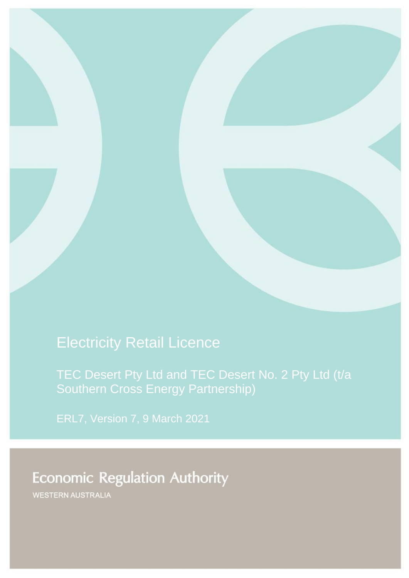# Electricity Retail Licence

[TEC Desert Pty Ltd and TEC Desert No. 2 Pty Ltd \(t/a](#page-1-0)  [Southern Cross Energy Partnership\)](#page-1-0)

ERL7, Version 7, 9 March 2021

# **Economic Regulation Authority**

WESTERN AUSTRALIA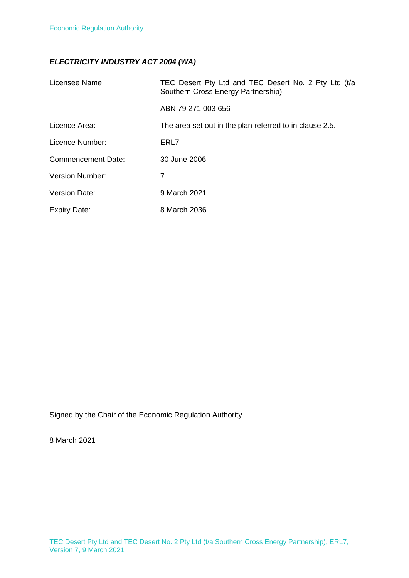### *ELECTRICITY INDUSTRY ACT 2004 (WA)*

<span id="page-1-0"></span>

| Licensee Name:         | TEC Desert Pty Ltd and TEC Desert No. 2 Pty Ltd (t/a<br>Southern Cross Energy Partnership) |
|------------------------|--------------------------------------------------------------------------------------------|
|                        | ABN 79 271 003 656                                                                         |
| Licence Area:          | The area set out in the plan referred to in clause 2.5.                                    |
| Licence Number:        | ERL7                                                                                       |
| Commencement Date:     | 30 June 2006                                                                               |
| <b>Version Number:</b> | 7                                                                                          |
| Version Date:          | 9 March 2021                                                                               |
| <b>Expiry Date:</b>    | 8 March 2036                                                                               |

Signed by the Chair of the Economic Regulation Authority

8 March 2021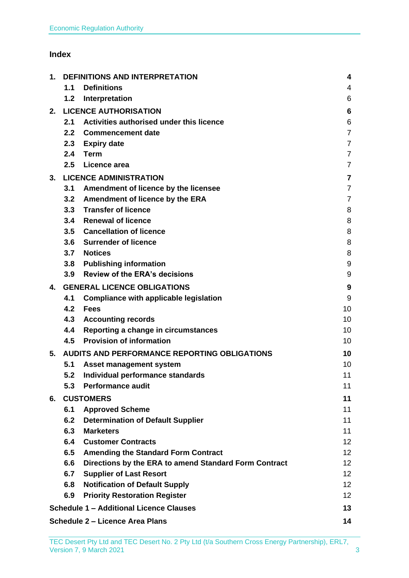### **Index**

| 1. | DEFINITIONS AND INTERPRETATION     |                                                       | 4               |
|----|------------------------------------|-------------------------------------------------------|-----------------|
|    | 1.1                                | <b>Definitions</b>                                    | 4               |
|    | 1.2                                | Interpretation                                        | 6               |
| 2. |                                    | <b>LICENCE AUTHORISATION</b>                          | 6               |
|    | 2.1                                | Activities authorised under this licence              | 6               |
|    | 2.2                                | <b>Commencement date</b>                              | $\overline{7}$  |
|    | 2.3                                | <b>Expiry date</b>                                    | $\overline{7}$  |
|    | 2.4                                | <b>Term</b>                                           | $\overline{7}$  |
|    | 2.5                                | Licence area                                          | $\overline{7}$  |
| 3. |                                    | <b>LICENCE ADMINISTRATION</b>                         | $\overline{7}$  |
|    | 3.1                                | Amendment of licence by the licensee                  | $\overline{7}$  |
|    | 3.2                                | Amendment of licence by the ERA                       | 7               |
|    | 3.3                                | <b>Transfer of licence</b>                            | 8               |
|    | 3.4                                | <b>Renewal of licence</b>                             | 8               |
|    | 3.5                                | <b>Cancellation of licence</b>                        | 8               |
|    | 3.6                                | <b>Surrender of licence</b>                           | 8               |
|    | 3.7                                | <b>Notices</b>                                        | 8               |
|    | 3.8                                | <b>Publishing information</b>                         | 9               |
|    | 3.9                                | <b>Review of the ERA's decisions</b>                  | 9               |
| 4. | <b>GENERAL LICENCE OBLIGATIONS</b> |                                                       | 9               |
|    | 4.1                                | <b>Compliance with applicable legislation</b>         | 9               |
|    | 4.2                                | <b>Fees</b>                                           | 10              |
|    | 4.3                                | <b>Accounting records</b>                             | 10              |
|    | 4.4                                | Reporting a change in circumstances                   | 10              |
|    | 4.5                                | <b>Provision of information</b>                       | 10              |
| 5. |                                    | <b>AUDITS AND PERFORMANCE REPORTING OBLIGATIONS</b>   | 10              |
|    | 5.1                                | Asset management system                               | 10              |
|    | 5.2                                | Individual performance standards                      | 11              |
|    | 5.3                                | <b>Performance audit</b>                              | 11              |
| 6. |                                    | <b>CUSTOMERS</b>                                      | 11              |
|    | 6.1                                | <b>Approved Scheme</b>                                | 11              |
|    | 6.2                                | <b>Determination of Default Supplier</b>              | 11              |
|    | 6.3                                | <b>Marketers</b>                                      | 11              |
|    | 6.4                                | <b>Customer Contracts</b>                             | 12 <sub>2</sub> |
|    | 6.5                                | <b>Amending the Standard Form Contract</b>            | 12 <sup>2</sup> |
|    | 6.6                                | Directions by the ERA to amend Standard Form Contract | 12              |
|    | 6.7                                | <b>Supplier of Last Resort</b>                        | 12 <sub>2</sub> |
|    | 6.8                                | <b>Notification of Default Supply</b>                 | 12 <sup>2</sup> |
|    | 6.9                                | <b>Priority Restoration Register</b>                  | 12 <sub>2</sub> |
|    |                                    | <b>Schedule 1 - Additional Licence Clauses</b>        | 13              |
|    |                                    | <b>Schedule 2 - Licence Area Plans</b>                | 14              |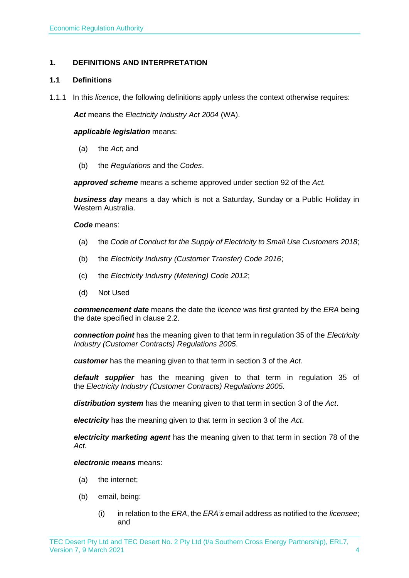#### <span id="page-3-0"></span>**1. DEFINITIONS AND INTERPRETATION**

#### <span id="page-3-1"></span>**1.1 Definitions**

1.1.1 In this *licence*, the following definitions apply unless the context otherwise requires:

*Act* means the *Electricity Industry Act 2004* (WA).

#### *applicable legislation* means:

- (a) the *Act*; and
- (b) the *Regulations* and the *Codes*.

*approved scheme* means a scheme approved under section 92 of the *Act.* 

*business day* means a day which is not a Saturday, Sunday or a Public Holiday in Western Australia.

*Code* means:

- (a) the *Code of Conduct for the Supply of Electricity to Small Use Customers 2018*;
- (b) the *Electricity Industry (Customer Transfer) Code 2016*;
- (c) the *Electricity Industry (Metering) Code 2012*;
- (d) Not Used

*commencement date* means the date the *licence* was first granted by the *ERA* being the date specified in clause 2.2.

*connection point* has the meaning given to that term in regulation 35 of the *[Electricity](http://www.slp.wa.gov.au/legislation/statutes.nsf/main_mrtitle_1345_homepage.html)  [Industry \(Customer Contracts\)](http://www.slp.wa.gov.au/legislation/statutes.nsf/main_mrtitle_1345_homepage.html) Regulations 2005*.

*customer* has the meaning given to that term in section 3 of the *Act*.

*default supplier* has the meaning given to that term in regulation 35 of the *Electricity [Industry \(Customer Contracts\) Regulations 2005.](http://www.slp.wa.gov.au/legislation/statutes.nsf/main_mrtitle_1345_homepage.html)*

*distribution system* has the meaning given to that term in section 3 of the *Act*.

*electricity* has the meaning given to that term in section 3 of the *Act*.

*electricity marketing agent* has the meaning given to that term in section 78 of the *Act*.

*electronic means* means:

- (a) the internet;
- (b) email, being:
	- (i) in relation to the *ERA*, the *ERA's* email address as notified to the *licensee*; and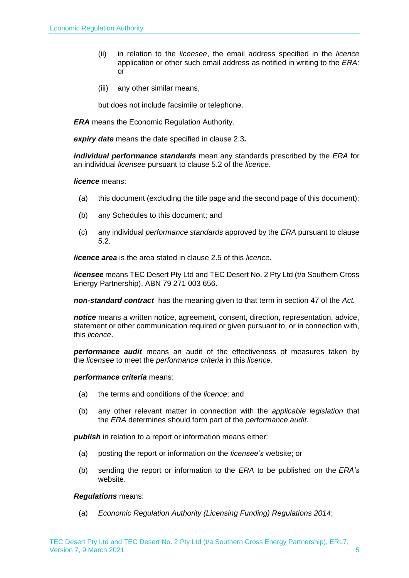- (ii) in relation to the *licensee*, the email address specified in the *licence* application or other such email address as notified in writing to the *ERA;* or
- (iii) any other similar means,

but does not include facsimile or telephone.

*ERA* means the Economic Regulation Authority.

*expiry date* means the date specified in clause 2.3*.*

*individual performance standards* mean any standards prescribed by the *ERA* for an individual *licensee* pursuant to clause 5.2 of the *licence*.

#### *licence* means:

- (a) this document (excluding the title page and the second page of this document);
- (b) any Schedules to this document; and
- (c) any individual *performance standards* approved by the *ERA* pursuant to clause 5.2.

*licence area* is the area stated in clause 2.5 of this *licence*.

*licensee* means TEC Desert Pty Ltd and TEC Desert No. 2 Pty Ltd (t/a Southern Cross Energy Partnership), ABN 79 271 003 656.

*non-standard contract* has the meaning given to that term in section 47 of the *Act.* 

*notice* means a written notice, agreement, consent, direction, representation, advice, statement or other communication required or given pursuant to, or in connection with, this *licence*.

*performance audit* means an audit of the effectiveness of measures taken by the *licensee* to meet the *performance criteria* in this *licence*.

#### *performance criteria* means:

- (a) the terms and conditions of the *licence*; and
- (b) any other relevant matter in connection with the *applicable legislation* that the *ERA* determines should form part of the *performance audit*.

**publish** in relation to a report or information means either:

- (a) posting the report or information on the *licensee's* website; or
- (b) sending the report or information to the *ERA* to be published on the *ERA's* website.

#### *Regulations* means:

(a) *Economic Regulation Authority (Licensing Funding) Regulations 2014*;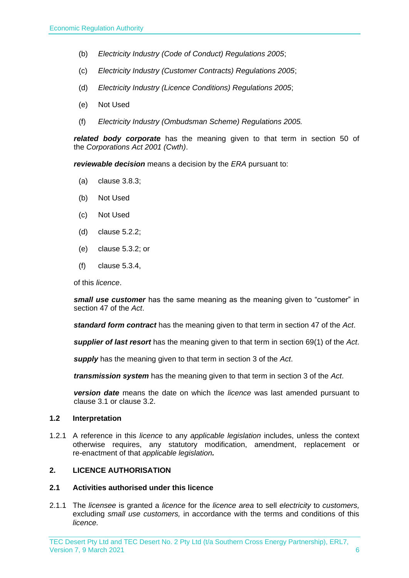- (b) *Electricity Industry (Code of Conduct) Regulations 2005*;
- (c) *Electricity Industry (Customer Contracts) Regulations 2005*;
- (d) *Electricity Industry (Licence Conditions) Regulations 2005*;
- (e) Not Used
- (f) *Electricity Industry (Ombudsman Scheme) Regulations 2005.*

*related body corporate* has the meaning given to that term in section 50 of the *Corporations Act 2001 (Cwth)*.

*reviewable decision* means a decision by the *ERA* pursuant to:

- (a) clause 3.8.3;
- (b) Not Used
- (c) Not Used
- (d) clause 5.2.2;
- (e) clause 5.3.2; or
- (f) clause 5.3.4,

of this *licence*.

*small use customer* has the same meaning as the meaning given to "customer" in section 47 of the *Act*.

*standard form contract* has the meaning given to that term in section 47 of the *Act*.

*supplier of last resort* has the meaning given to that term in section 69(1) of the *Act*.

*supply* has the meaning given to that term in section 3 of the *Act*.

*transmission system* has the meaning given to that term in section 3 of the *Act*.

*version date* means the date on which the *licence* was last amended pursuant to clause 3.1 or clause 3.2.

#### <span id="page-5-0"></span>**1.2 Interpretation**

1.2.1 A reference in this *licence* to any *applicable legislation* includes, unless the context otherwise requires, any statutory modification, amendment, replacement or re-enactment of that *applicable legislation.*

#### <span id="page-5-1"></span>**2. LICENCE AUTHORISATION**

#### <span id="page-5-2"></span>**2.1 Activities authorised under this licence**

2.1.1 The *licensee* is granted a *licence* for the *licence area* to sell *electricity* to *customers,*  excluding *small use customers,* in accordance with the terms and conditions of this *licence.*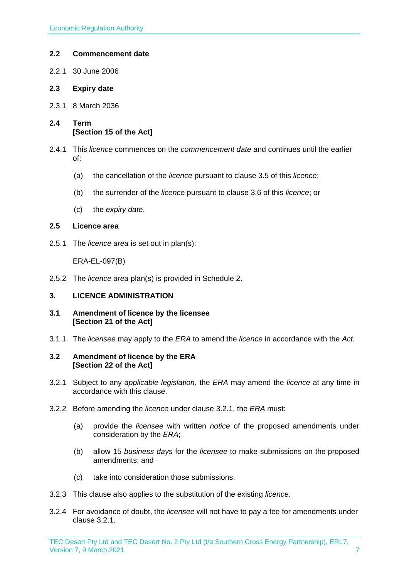#### <span id="page-6-0"></span>**2.2 Commencement date**

- 2.2.1 30 June 2006
- <span id="page-6-1"></span>**2.3 Expiry date**
- 2.3.1 8 March 2036
- <span id="page-6-2"></span>**2.4 Term [Section 15 of the Act]**
- 2.4.1 This *licence* commences on the *commencement date* and continues until the earlier of:
	- (a) the cancellation of the *licence* pursuant to clause 3.5 of this *licence*;
	- (b) the surrender of the *licence* pursuant to clause 3.6 of this *licence*; or
	- (c) the *expiry date*.

#### <span id="page-6-3"></span>**2.5 Licence area**

2.5.1 The *licence area* is set out in plan(s):

ERA-EL-097(B)

2.5.2 The *licence area* plan(s) is provided in Schedule 2.

#### <span id="page-6-4"></span>**3. LICENCE ADMINISTRATION**

- <span id="page-6-5"></span>**3.1 Amendment of licence by the licensee [Section 21 of the Act]**
- 3.1.1 The *licensee* may apply to the *ERA* to amend the *licence* in accordance with the *Act.*

#### <span id="page-6-6"></span>**3.2 Amendment of licence by the ERA [Section 22 of the Act]**

- 3.2.1 Subject to any *applicable legislation*, the *ERA* may amend the *licence* at any time in accordance with this clause.
- 3.2.2 Before amending the *licence* under clause 3.2.1, the *ERA* must:
	- (a) provide the *licensee* with written *notice* of the proposed amendments under consideration by the *ERA*;
	- (b) allow 15 *business days* for the *licensee* to make submissions on the proposed amendments; and
	- (c) take into consideration those submissions.
- 3.2.3 This clause also applies to the substitution of the existing *licence*.
- 3.2.4 For avoidance of doubt, the *licensee* will not have to pay a fee for amendments under clause 3.2.1.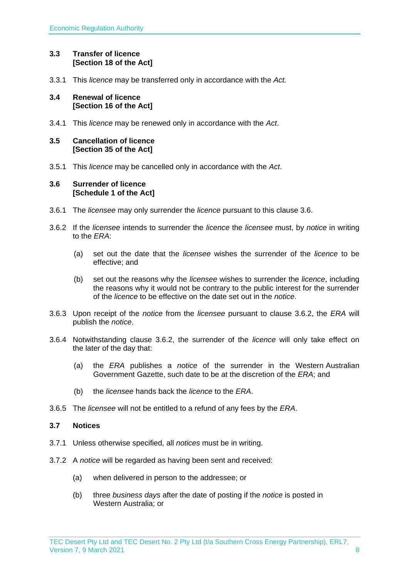#### <span id="page-7-0"></span>**3.3 Transfer of licence [Section 18 of the Act]**

3.3.1 This *licence* may be transferred only in accordance with the *Act.*

#### <span id="page-7-1"></span>**3.4 Renewal of licence [Section 16 of the Act]**

3.4.1 This *licence* may be renewed only in accordance with the *Act*.

#### <span id="page-7-2"></span>**3.5 Cancellation of licence [Section 35 of the Act]**

3.5.1 This *licence* may be cancelled only in accordance with the *Act*.

#### <span id="page-7-3"></span>**3.6 Surrender of licence [Schedule 1 of the Act]**

- 3.6.1 The *licensee* may only surrender the *licence* pursuant to this clause 3.6.
- 3.6.2 If the *licensee* intends to surrender the *licence* the *licensee* must, by *notice* in writing to the *ERA*:
	- (a) set out the date that the *licensee* wishes the surrender of the *licence* to be effective; and
	- (b) set out the reasons why the *licensee* wishes to surrender the *licence*, including the reasons why it would not be contrary to the public interest for the surrender of the *licence* to be effective on the date set out in the *notice*.
- 3.6.3 Upon receipt of the *notice* from the *licensee* pursuant to clause 3.6.2, the *ERA* will publish the *notice*.
- 3.6.4 Notwithstanding clause 3.6.2, the surrender of the *licence* will only take effect on the later of the day that:
	- (a) the *ERA* publishes a *notice* of the surrender in the Western Australian Government Gazette, such date to be at the discretion of the *ERA*; and
	- (b) the *licensee* hands back the *licence* to the *ERA*.
- 3.6.5 The *licensee* will not be entitled to a refund of any fees by the *ERA*.

#### <span id="page-7-4"></span>**3.7 Notices**

- 3.7.1 Unless otherwise specified, all *notices* must be in writing.
- 3.7.2 A *notice* will be regarded as having been sent and received:
	- (a) when delivered in person to the addressee; or
	- (b) three *business days* after the date of posting if the *notice* is posted in Western Australia; or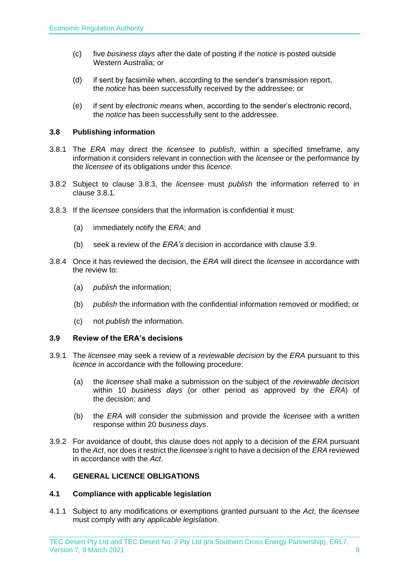- (c) five *business days* after the date of posting if the *notice* is posted outside Western Australia; or
- (d) if sent by facsimile when, according to the sender's transmission report, the *notice* has been successfully received by the addressee; or
- (e) if sent by *electronic means* when, according to the sender's electronic record, the *notice* has been successfully sent to the addressee.

#### <span id="page-8-0"></span>**3.8 Publishing information**

- 3.8.1 The *ERA* may direct the *licensee* to *publish*, within a specified timeframe, any information it considers relevant in connection with the *licensee* or the performance by the *licensee* of its obligations under this *licence*.
- 3.8.2 Subject to clause 3.8.3, the *licensee* must *publish* the information referred to in clause 3.8.1.
- 3.8.3 If the *licensee* considers that the information is confidential it must:
	- (a) immediately notify the *ERA*; and
	- (b) seek a review of the *ERA's* decision in accordance with clause 3.9.
- 3.8.4 Once it has reviewed the decision, the *ERA* will direct the *licensee* in accordance with the review to:
	- (a) *publish* the information;
	- (b) *publish* the information with the confidential information removed or modified; or
	- (c) not *publish* the information.

#### <span id="page-8-1"></span>**3.9 Review of the ERA's decisions**

- 3.9.1 The *licensee* may seek a review of a *reviewable decision* by the *ERA* pursuant to this *licence* in accordance with the following procedure:
	- (a) the *licensee* shall make a submission on the subject of the *reviewable decision* within 10 *business days* (or other period as approved by the *ERA*) of the decision; and
	- (b) the *ERA* will consider the submission and provide the *licensee* with a written response within 20 *business days*.
- 3.9.2 For avoidance of doubt, this clause does not apply to a decision of the *ERA* pursuant to the *Act*, nor does it restrict the *licensee's* right to have a decision of the *ERA* reviewed in accordance with the *Act*.

#### <span id="page-8-2"></span>**4. GENERAL LICENCE OBLIGATIONS**

#### <span id="page-8-3"></span>**4.1 Compliance with applicable legislation**

4.1.1 Subject to any modifications or exemptions granted pursuant to the *Act*, the *licensee* must comply with any *applicable legislation*.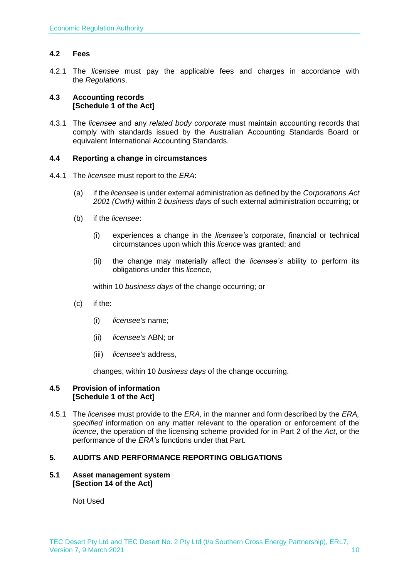#### <span id="page-9-0"></span>**4.2 Fees**

4.2.1 The *licensee* must pay the applicable fees and charges in accordance with the *Regulations*.

#### <span id="page-9-1"></span>**4.3 Accounting records [Schedule 1 of the Act]**

4.3.1 The *licensee* and any *related body corporate* must maintain accounting records that comply with standards issued by the Australian Accounting Standards Board or equivalent International Accounting Standards.

#### <span id="page-9-2"></span>**4.4 Reporting a change in circumstances**

- 4.4.1 The *licensee* must report to the *ERA*:
	- (a) if the *licensee* is under external administration as defined by the *Corporations Act 2001 (Cwth)* within 2 *business days* of such external administration occurring; or
	- (b) if the *licensee*:
		- (i) experiences a change in the *licensee's* corporate, financial or technical circumstances upon which this *licence* was granted; and
		- (ii) the change may materially affect the *licensee's* ability to perform its obligations under this *licence*,

within 10 *business days* of the change occurring; or

- (c) if the:
	- (i) *licensee's* name;
	- (ii) *licensee's* ABN; or
	- (iii) *licensee's* address,

changes, within 10 *business days* of the change occurring.

#### <span id="page-9-3"></span>**4.5 Provision of information [Schedule 1 of the Act]**

4.5.1 The *licensee* must provide to the *ERA,* in the manner and form described by the *ERA, specified* information on any matter relevant to the operation or enforcement of the *licence*, the operation of the licensing scheme provided for in Part 2 of the *Act*, or the performance of the *ERA's* functions under that Part.

#### <span id="page-9-4"></span>**5. AUDITS AND PERFORMANCE REPORTING OBLIGATIONS**

#### <span id="page-9-5"></span>**5.1 Asset management system [Section 14 of the Act]**

Not Used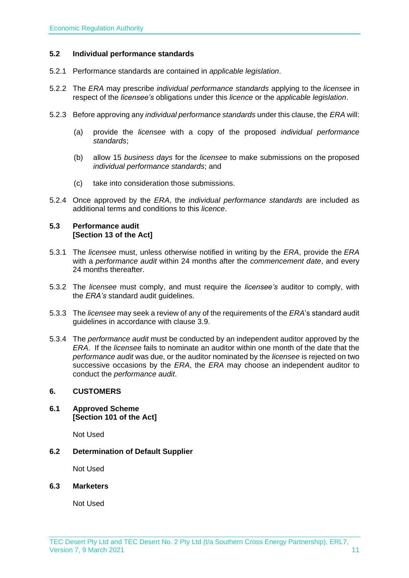#### <span id="page-10-0"></span>**5.2 Individual performance standards**

- 5.2.1 Performance standards are contained in *applicable legislation*.
- 5.2.2 The *ERA* may prescribe *individual performance standards* applying to the *licensee* in respect of the *licensee's* obligations under this *licence* or the *applicable legislation*.
- 5.2.3 Before approving any *individual performance standards* under this clause, the *ERA* will:
	- (a) provide the *licensee* with a copy of the proposed *individual performance standards*;
	- (b) allow 15 *business days* for the *licensee* to make submissions on the proposed *individual performance standards*; and
	- (c) take into consideration those submissions.
- 5.2.4 Once approved by the *ERA*, the *individual performance standards* are included as additional terms and conditions to this *licence*.

#### <span id="page-10-1"></span>**5.3 Performance audit [Section 13 of the Act]**

- 5.3.1 The *licensee* must, unless otherwise notified in writing by the *ERA*, provide the *ERA* with a *performance audit* within 24 months after the *commencement date*, and every 24 months thereafter.
- 5.3.2 The *licensee* must comply, and must require the *licensee's* auditor to comply, with the *ERA's* standard audit guidelines.
- 5.3.3 The *licensee* may seek a review of any of the requirements of the *ERA*'s standard audit guidelines in accordance with clause 3.9.
- 5.3.4 The *performance audit* must be conducted by an independent auditor approved by the *ERA*. If the *licensee* fails to nominate an auditor within one month of the date that the *performance audit* was due, or the auditor nominated by the *licensee* is rejected on two successive occasions by the *ERA*, the *ERA* may choose an independent auditor to conduct the *performance audit*.

#### <span id="page-10-2"></span>**6. CUSTOMERS**

<span id="page-10-3"></span>**6.1 Approved Scheme [Section 101 of the Act]**

Not Used

<span id="page-10-4"></span>**6.2 Determination of Default Supplier** 

Not Used

<span id="page-10-5"></span>**6.3 Marketers**

Not Used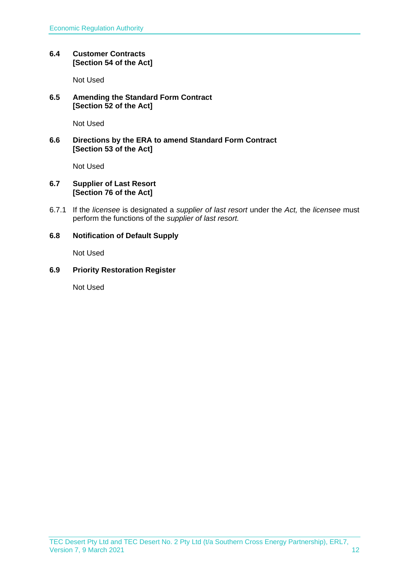#### <span id="page-11-0"></span>**6.4 Customer Contracts [Section 54 of the Act]**

Not Used

#### <span id="page-11-1"></span>**6.5 Amending the Standard Form Contract [Section 52 of the Act]**

Not Used

#### <span id="page-11-2"></span>**6.6 Directions by the ERA to amend Standard Form Contract [Section 53 of the Act]**

Not Used

#### <span id="page-11-3"></span>**6.7 Supplier of Last Resort [Section 76 of the Act]**

6.7.1 If the *licensee* is designated a *supplier of last resort* under the *Act,* the *licensee* must perform the functions of the *supplier of last resort.* 

#### <span id="page-11-4"></span>**6.8 Notification of Default Supply**

Not Used

#### <span id="page-11-5"></span>**6.9 Priority Restoration Register**

Not Used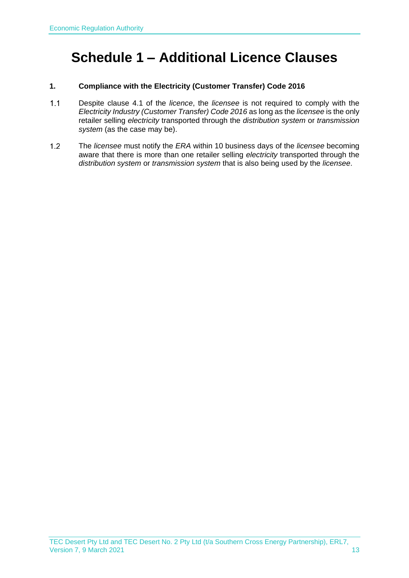### <span id="page-12-0"></span>**Schedule 1 – Additional Licence Clauses**

#### **1. Compliance with the Electricity (Customer Transfer) Code 2016**

- $1.1$ Despite clause 4.1 of the *licence*, the *licensee* is not required to comply with the *Electricity Industry (Customer Transfer) Code 2016* as long as the *licensee* is the only retailer selling *electricity* transported through the *distribution system* or *transmission system* (as the case may be).
- $1.2$ The *licensee* must notify the *ERA* within 10 business days of the *licensee* becoming aware that there is more than one retailer selling *electricity* transported through the *distribution system* or *transmission system* that is also being used by the *licensee*.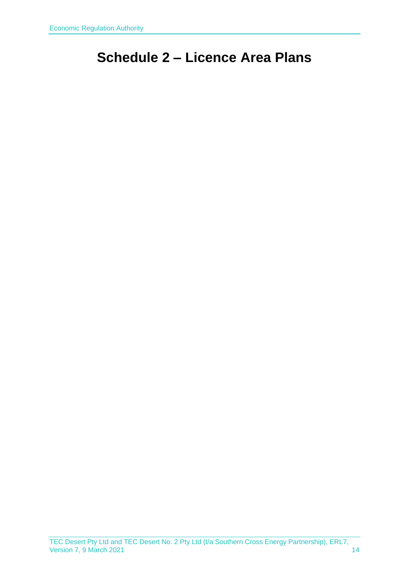## <span id="page-13-0"></span>**Schedule 2 – Licence Area Plans**